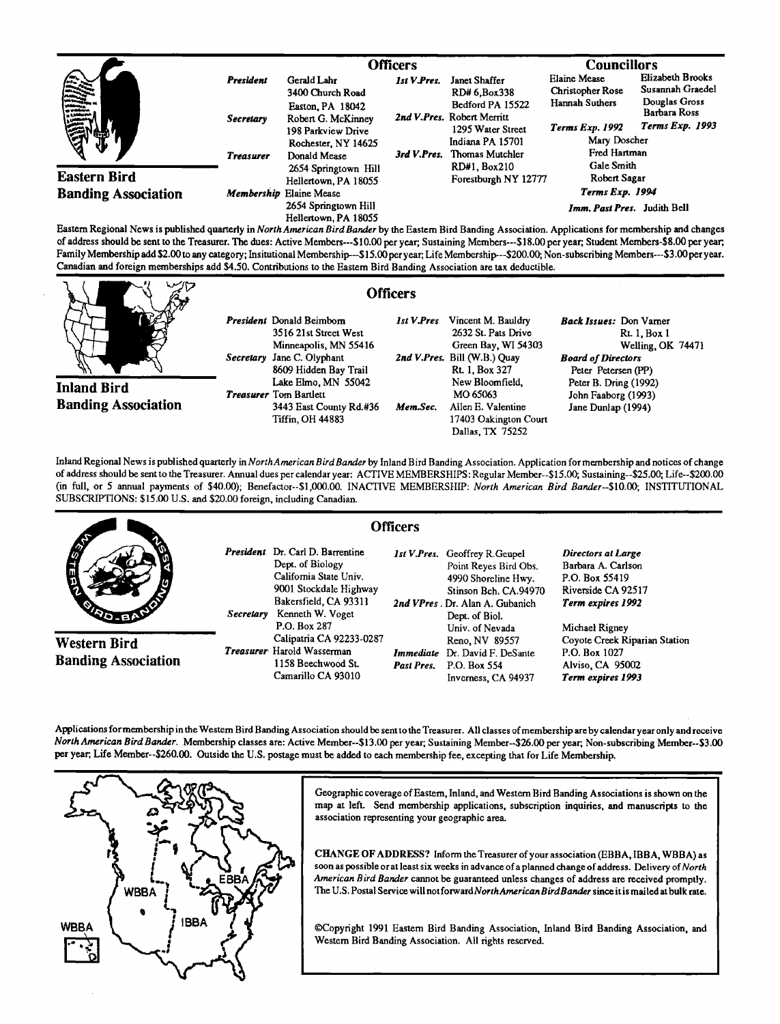|                            |                  | <b>Officers</b>                                                                     |             |                                                                     | <b>Councillors</b>                                        |                                                       |
|----------------------------|------------------|-------------------------------------------------------------------------------------|-------------|---------------------------------------------------------------------|-----------------------------------------------------------|-------------------------------------------------------|
| <b>Allie</b>               | President        | Gerald Lahr<br>3400 Church Road                                                     | 1st V.Pres. | Janet Shaffer<br>RD# 6.Box338<br>Bedford PA 15522                   | <b>Elaine Mease</b><br>Christopher Rose<br>Hannah Suthers | Elizabeth Brooks<br>Susannah Graedel<br>Douglas Gross |
|                            | <b>Secretary</b> | Easton, PA 18042<br>Robert G. McKinney<br>198 Parkview Drive<br>Rochester, NY 14625 |             | 2nd V.Pres. Robert Merritt<br>1295 Water Street<br>Indiana PA 15701 | <b>Terms Exp. 1992</b><br>Mary Doscher                    | Barbara Ross<br>Terms Exp. 1993                       |
| <b>Eastern Bird</b>        | <b>Treasurer</b> | Donald Mease<br>2654 Springtown Hill<br>Hellertown, PA 18055                        |             | 3rd V.Pres. Thomas Mutchler<br>RD#1, Box210<br>Forestburgh NY 12777 | Fred Hartman<br>Gale Smith<br>Robert Sagar                |                                                       |
| <b>Banding Association</b> |                  | Membership Elaine Mease<br>2654 Springtown Hill<br>Hellertown, PA 18055             |             | Terms Exp. 1994<br>Imm. Past Pres. Judith Bell                      |                                                           |                                                       |

Eastern Regional News is published quarterly in *North American Bird Bander* by the Eastern Bird Banding Association. Applications for membership and changes **of address should be sent to the Treasurer. The dues: Active Members---\$10.00 peryear; Sustaining Members---\$18.00 peryear;, Student Members-S8.00 per year,**  Family Membership add \$2.00 to any category; Insitutional Membership---\$15.00 per year; Life Membership---\$200.00; Non-subscribing Members---\$3.00 per year. Canadian and foreign memberships add \$4.50. Contributions to the Eastern Bird Banding Association are tax deductible.

**Inland Bird Banding Association** 

| President Donald Beimborn     |
|-------------------------------|
| 3516 21st Street West         |
| Minneapolis, MN 55416         |
| Secretary Jane C. Olyphant    |
| 8609 Hidden Bay Trail         |
| Lake Elmo, MN 55042           |
| <i>Treasurer</i> Tom Bartlett |
| 3443 East County Rd.#36       |
| Tiffin, OH 44883              |
|                               |

**1st V. Pres Vincent M. Bauldry Back Issues: Don Vamer Green Bay, WI 54303** Welling<br>Bill (W.B.) Quay Board of Directors **2nd V.Pres.** Bill (W.B.) Quay Rt. 1. Box 327 **Rt. 1, Box 327** Peter Petersen (PP)<br>
New Bloomfield, Peter B. Dring (1992 **Mem.Sec.** Allen E. Valentine Jane Dunlap (1994) **17403 Oakington Court Dallas, TX 75252** 

2632 St. Pats Drive **Rt. 1, Box 1**<br> **2632 St. Pats Drive 8** Rt. 1, Box 1<br> **264471 New Bloomfield, Peter B. Dring (1992) MO 65063 John Faaborg (1993)** 

Inland Regional News is published quarterly in North American Bird Bander by Inland Bird Banding Association. Application for membership and notices of change **of address should be sent to the Treasurer. Annual dues per calendar year: ACTIVE MEMBERSHIPS: Regular Member--\$15.00; Sustaining--S25.00; Life--S200.00 (in full, or 5 annual payments of \$40.00); Benefactor--S1,000.00. INACTIVE MEMBERSHIP: North American Bird Bander--S10.00; INSTITUTIONAL SUBSCRIPTIONS: \$15.00 U.S. and \$20.00 foreign, including Canadian.** 



**Applications formembershipin theWestern Bird Banding Association should be sent to the Treasurer. All classes ofmembership are by calendar year only and roceive North American Bird Bander. Membership classes are: Active Member--S13.00 per year; Sustaining Member--S26.00 per year, Non-subscribing Member--S3.00**  per year; Life Member--\$260.00. Outside the U.S. postage must be added to each membership fee, excepting that for Life Membership.



**Geographic coverage of Eastem, Inland, and Western Bird Banding Associations is shown on the**  map at left. Send membership applications, subscription inquiries, and manuscripts to the **association representing your geographic area.** 

**CHANGE OF ADDRESS? Inform the Treasurer ofyour association (EBBA, IBBA, WBBA) as**  soon as possible or at least six weeks in advance of a planned change of address. Delivery of North **American Bird Bander cannot be guaranteed unless changes of address are received promptly. The U.S. Postal Service will not forward NorthAmerican BirdBander since it is mailed at bulk rate.** 

**•)Copyright 1991 Eastem Bird Banding Association, Inland Bird Banding Association, and Westem Bird Banding Association. All rights reserved.** 

#### **Officers**